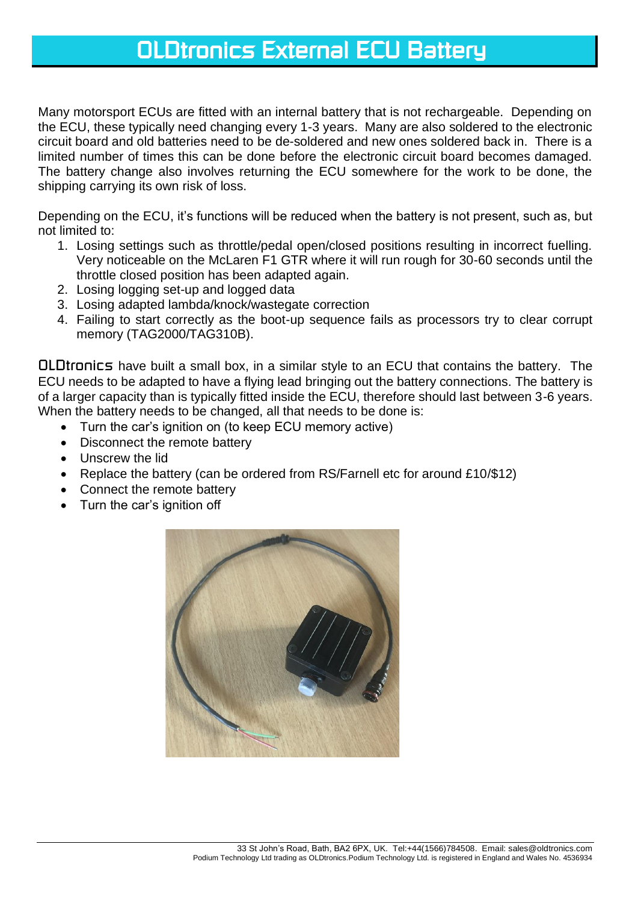# *OLDtronics External ECU Battery*

Many motorsport ECUs are fitted with an internal battery that is not rechargeable. Depending on the ECU, these typically need changing every 1-3 years. Many are also soldered to the electronic circuit board and old batteries need to be de-soldered and new ones soldered back in. There is a limited number of times this can be done before the electronic circuit board becomes damaged. The battery change also involves returning the ECU somewhere for the work to be done, the shipping carrying its own risk of loss.

Depending on the ECU, it's functions will be reduced when the battery is not present, such as, but not limited to:

- 1. Losing settings such as throttle/pedal open/closed positions resulting in incorrect fuelling. Very noticeable on the McLaren F1 GTR where it will run rough for 30-60 seconds until the throttle closed position has been adapted again.
- 2. Losing logging set-up and logged data
- 3. Losing adapted lambda/knock/wastegate correction
- 4. Failing to start correctly as the boot-up sequence fails as processors try to clear corrupt memory (TAG2000/TAG310B).

*OLDtronics* have built a small box, in a similar style to an ECU that contains the battery. The ECU needs to be adapted to have a flying lead bringing out the battery connections. The battery is of a larger capacity than is typically fitted inside the ECU, therefore should last between 3-6 years. When the battery needs to be changed, all that needs to be done is:

- Turn the car's ignition on (to keep ECU memory active)
- Disconnect the remote battery
- Unscrew the lid
- Replace the battery (can be ordered from RS/Farnell etc for around £10/\$12)
- Connect the remote battery
- Turn the car's ignition off

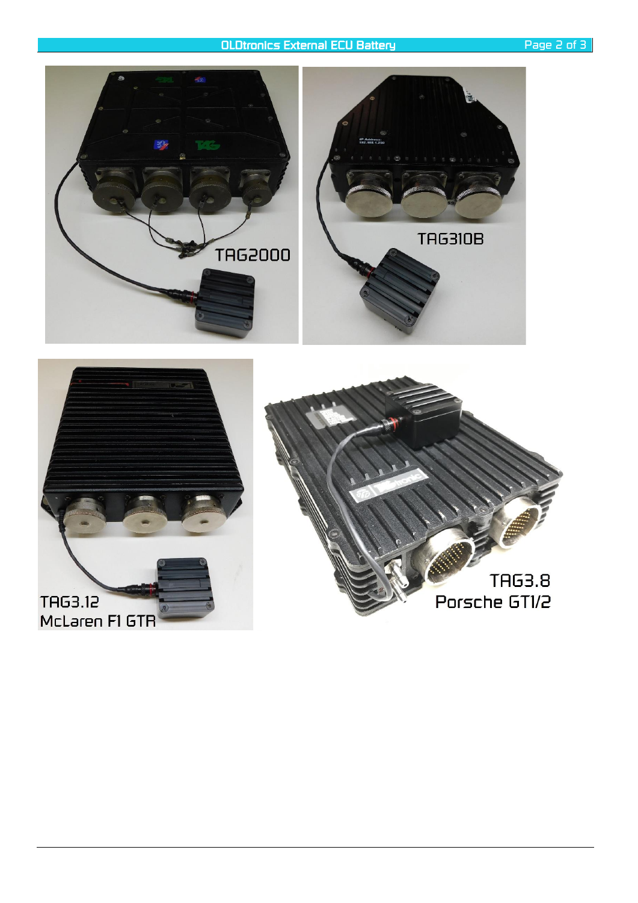## *OLDtronics External ECU Battery Page 2 of 3*

**TAG310B TAG2000**